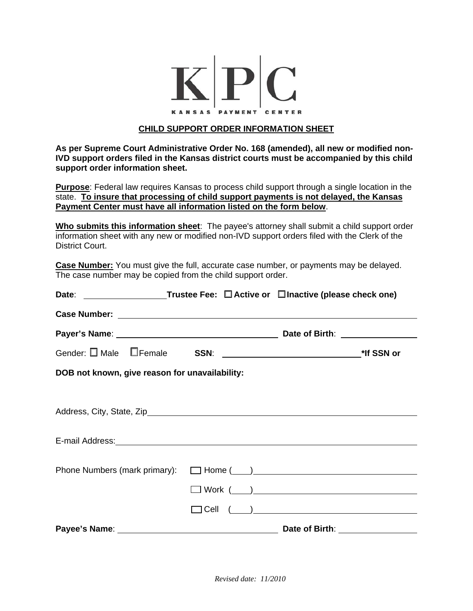

## **CHILD SUPPORT ORDER INFORMATION SHEET**

**As per Supreme Court Administrative Order No. 168 (amended), all new or modified non-IVD support orders filed in the Kansas district courts must be accompanied by this child support order information sheet.**

**Purpose**: Federal law requires Kansas to process child support through a single location in the state. **To insure that processing of child support payments is not delayed, the Kansas Payment Center must have all information listed on the form below**.

**Who submits this information sheet**: The payee's attorney shall submit a child support order information sheet with any new or modified non-IVD support orders filed with the Clerk of the District Court.

**Case Number:** You must give the full, accurate case number, or payments may be delayed. The case number may be copied from the child support order.

| Date: _____________________Trustee Fee: □ Active or □ Inactive (please check one)                                                                                                                                              |                        |  |  |  |  |  |
|--------------------------------------------------------------------------------------------------------------------------------------------------------------------------------------------------------------------------------|------------------------|--|--|--|--|--|
| Case Number: National Accounts of the Case Number of the Case Number of the Case Number of the Case of the Case of the Case of the Case of the Case of the Case of the Case of the Case of the Case of the Case of the Case of |                        |  |  |  |  |  |
|                                                                                                                                                                                                                                |                        |  |  |  |  |  |
|                                                                                                                                                                                                                                |                        |  |  |  |  |  |
| DOB not known, give reason for unavailability:                                                                                                                                                                                 |                        |  |  |  |  |  |
|                                                                                                                                                                                                                                |                        |  |  |  |  |  |
|                                                                                                                                                                                                                                |                        |  |  |  |  |  |
|                                                                                                                                                                                                                                |                        |  |  |  |  |  |
|                                                                                                                                                                                                                                |                        |  |  |  |  |  |
|                                                                                                                                                                                                                                | $\Box$ Work $(\_\_\_)$ |  |  |  |  |  |
|                                                                                                                                                                                                                                | $\Box$ Cell $(\_\_\_)$ |  |  |  |  |  |
| Payee's Name: Name: Name: Name: Name: Name: Name: Name: Name: Name: Name: Name: Name: Name: Name: Name: Name: N                                                                                                                |                        |  |  |  |  |  |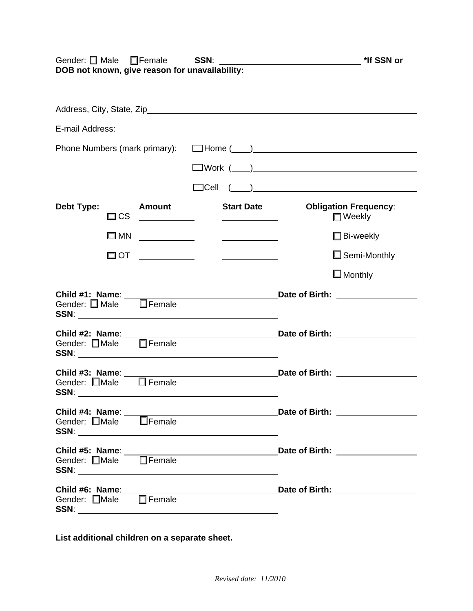| Gender: $\square$ Male<br>DOB not known, give reason for unavailability: | □Female SSN:                                                                                                          |                                                                                                                      |                                                                                                                | *If SSN or                                    |
|--------------------------------------------------------------------------|-----------------------------------------------------------------------------------------------------------------------|----------------------------------------------------------------------------------------------------------------------|----------------------------------------------------------------------------------------------------------------|-----------------------------------------------|
|                                                                          |                                                                                                                       |                                                                                                                      |                                                                                                                |                                               |
|                                                                          |                                                                                                                       |                                                                                                                      | E-mail Address: Note and Address and Address and Address and Address and Address and Address and Address and A |                                               |
|                                                                          |                                                                                                                       |                                                                                                                      |                                                                                                                |                                               |
|                                                                          |                                                                                                                       |                                                                                                                      |                                                                                                                |                                               |
|                                                                          |                                                                                                                       | $\Box$ Cell                                                                                                          | $\left(\begin{array}{c} \begin{array}{c} \begin{array}{c} \end{array}\\ \end{array}\right) \end{array}$        |                                               |
| Debt Type:<br>$\square$ CS                                               | Amount                                                                                                                | <b>Start Date</b><br>$\overline{\phantom{a}}$ . The contract of $\overline{\phantom{a}}$                             |                                                                                                                | <b>Obligation Frequency:</b><br>$\Box$ Weekly |
| $\square$ MN                                                             | <u> 1989 - Jan Sterling Sterling Sterling Sterling Sterling Sterling Sterling Sterling Sterling Sterling Sterling</u> | <u> Albanya di Barat di Barat di Barat di Barat di Barat di Barat di Barat di Barat di Barat di Barat di Barat d</u> |                                                                                                                | $\Box$ Bi-weekly                              |
|                                                                          | $\Box$ ot _____________                                                                                               | $\overline{\phantom{a}}$                                                                                             |                                                                                                                | $\Box$ Semi-Monthly                           |
|                                                                          |                                                                                                                       |                                                                                                                      |                                                                                                                | $\square$ Monthly                             |
|                                                                          |                                                                                                                       |                                                                                                                      |                                                                                                                |                                               |
| Gender: Male Female                                                      |                                                                                                                       |                                                                                                                      |                                                                                                                | Date of Birth: _________________              |
| Gender: □Male □ Female                                                   |                                                                                                                       |                                                                                                                      |                                                                                                                |                                               |
| Child #4: Name:<br>Gender: □Male □Female                                 |                                                                                                                       |                                                                                                                      |                                                                                                                |                                               |
|                                                                          |                                                                                                                       |                                                                                                                      |                                                                                                                |                                               |
|                                                                          |                                                                                                                       |                                                                                                                      |                                                                                                                |                                               |

**List additional children on a separate sheet.**